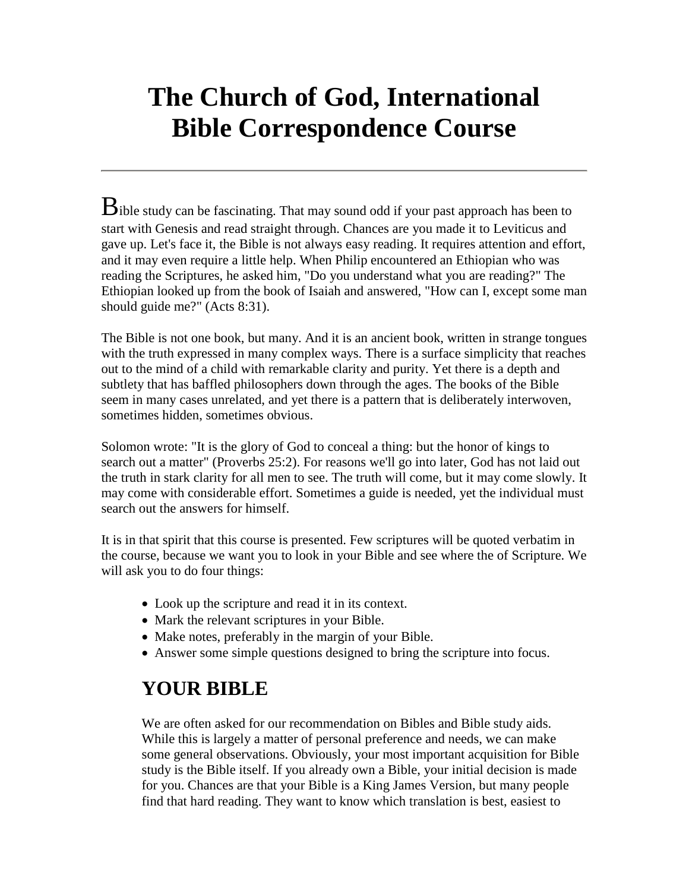# **The Church of God, International Bible Correspondence Course**

 $B$ ible study can be fascinating. That may sound odd if your past approach has been to start with Genesis and read straight through. Chances are you made it to Leviticus and gave up. Let's face it, the Bible is not always easy reading. It requires attention and effort, and it may even require a little help. When Philip encountered an Ethiopian who was reading the Scriptures, he asked him, "Do you understand what you are reading?" The Ethiopian looked up from the book of Isaiah and answered, "How can I, except some man should guide me?" (Acts 8:31).

The Bible is not one book, but many. And it is an ancient book, written in strange tongues with the truth expressed in many complex ways. There is a surface simplicity that reaches out to the mind of a child with remarkable clarity and purity. Yet there is a depth and subtlety that has baffled philosophers down through the ages. The books of the Bible seem in many cases unrelated, and yet there is a pattern that is deliberately interwoven, sometimes hidden, sometimes obvious.

Solomon wrote: "It is the glory of God to conceal a thing: but the honor of kings to search out a matter" (Proverbs 25:2). For reasons we'll go into later, God has not laid out the truth in stark clarity for all men to see. The truth will come, but it may come slowly. It may come with considerable effort. Sometimes a guide is needed, yet the individual must search out the answers for himself.

It is in that spirit that this course is presented. Few scriptures will be quoted verbatim in the course, because we want you to look in your Bible and see where the of Scripture. We will ask you to do four things:

- Look up the scripture and read it in its context.
- Mark the relevant scriptures in your Bible.
- Make notes, preferably in the margin of your Bible.
- Answer some simple questions designed to bring the scripture into focus.

# **YOUR BIBLE**

We are often asked for our recommendation on Bibles and Bible study aids. While this is largely a matter of personal preference and needs, we can make some general observations. Obviously, your most important acquisition for Bible study is the Bible itself. If you already own a Bible, your initial decision is made for you. Chances are that your Bible is a King James Version, but many people find that hard reading. They want to know which translation is best, easiest to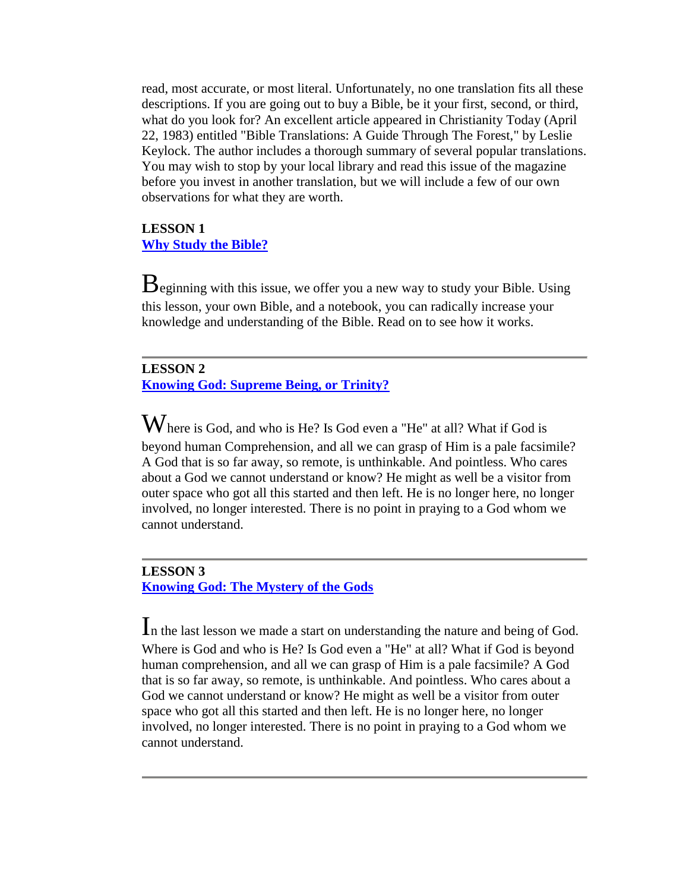read, most accurate, or most literal. Unfortunately, no one translation fits all these descriptions. If you are going out to buy a Bible, be it your first, second, or third, what do you look for? An excellent article appeared in Christianity Today (April 22, 1983) entitled "Bible Translations: A Guide Through The Forest," by Leslie Keylock. The author includes a thorough summary of several popular translations. You may wish to stop by your local library and read this issue of the magazine before you invest in another translation, but we will include a few of our own observations for what they are worth.

#### **LESSON 1 [Why Study the Bible?](file://web/19970130185840/http:/www.cgi.org/watch/jan95/bible_s.htm)**

 $B$ eginning with this issue, we offer you a new way to study your Bible. Using this lesson, your own Bible, and a notebook, you can radically increase your knowledge and understanding of the Bible. Read on to see how it works.

#### **LESSON 2 [Knowing God: Supreme Being, or Trinity?](file://web/19970130185840/http:/www.cgi.org/watch/feb95/course2.htm)**

 $\mathbf W$ here is God, and who is He? Is God even a "He" at all? What if God is beyond human Comprehension, and all we can grasp of Him is a pale facsimile? A God that is so far away, so remote, is unthinkable. And pointless. Who cares about a God we cannot understand or know? He might as well be a visitor from outer space who got all this started and then left. He is no longer here, no longer involved, no longer interested. There is no point in praying to a God whom we cannot understand.

#### **LESSON 3 [Knowing God: The Mystery of the Gods](file://web/19970130185840/http:/www.cgi.org/watch/mar95/course3.htm)**

In the last lesson we made a start on understanding the nature and being of God. Where is God and who is He? Is God even a "He" at all? What if God is beyond human comprehension, and all we can grasp of Him is a pale facsimile? A God that is so far away, so remote, is unthinkable. And pointless. Who cares about a God we cannot understand or know? He might as well be a visitor from outer space who got all this started and then left. He is no longer here, no longer involved, no longer interested. There is no point in praying to a God whom we cannot understand.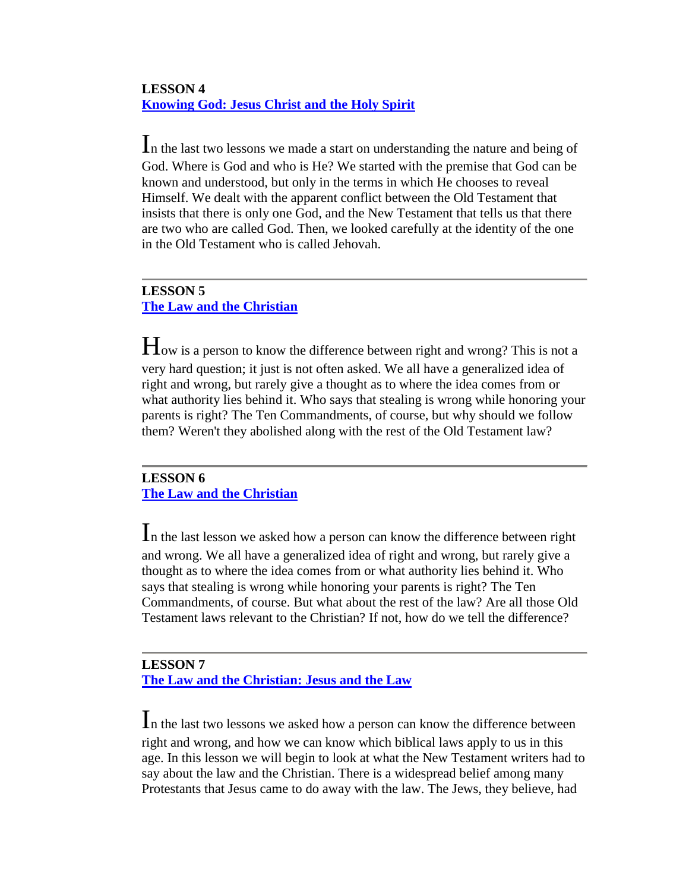# **LESSON 4 [Knowing God: Jesus Christ and the Holy Spirit](file://web/19970130185840/http:/www.cgi.org/watch/apr-may9/course4.htm)**

In the last two lessons we made a start on understanding the nature and being of God. Where is God and who is He? We started with the premise that God can be known and understood, but only in the terms in which He chooses to reveal Himself. We dealt with the apparent conflict between the Old Testament that insists that there is only one God, and the New Testament that tells us that there are two who are called God. Then, we looked carefully at the identity of the one in the Old Testament who is called Jehovah.

# **LESSON 5 [The Law and the Christian](file://web/19970130185840/http:/www.cgi.org/watch/jun95/course5.htm)**

How is a person to know the difference between right and wrong? This is not a very hard question; it just is not often asked. We all have a generalized idea of right and wrong, but rarely give a thought as to where the idea comes from or what authority lies behind it. Who says that stealing is wrong while honoring your parents is right? The Ten Commandments, of course, but why should we follow them? Weren't they abolished along with the rest of the Old Testament law?

# **LESSON 6 [The Law and the Christian](file://web/19970130185840/http:/www.cgi.org/watch/jul95/course6.htm)**

In the last lesson we asked how a person can know the difference between right and wrong. We all have a generalized idea of right and wrong, but rarely give a thought as to where the idea comes from or what authority lies behind it. Who says that stealing is wrong while honoring your parents is right? The Ten Commandments, of course. But what about the rest of the law? Are all those Old Testament laws relevant to the Christian? If not, how do we tell the difference?

### **LESSON 7 [The Law and the Christian: Jesus and the Law](file://web/19970130185840/http:/www.cgi.org/watch/aug95/lesson7.htm)**

In the last two lessons we asked how a person can know the difference between right and wrong, and how we can know which biblical laws apply to us in this age. In this lesson we will begin to look at what the New Testament writers had to say about the law and the Christian. There is a widespread belief among many Protestants that Jesus came to do away with the law. The Jews, they believe, had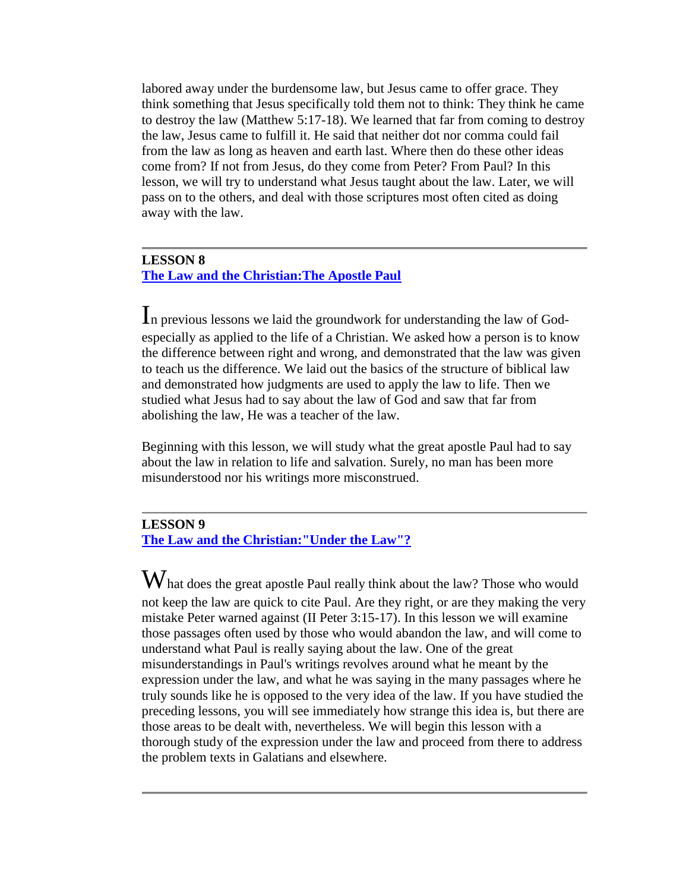labored away under the burdensome law, but Jesus came to offer grace. They think something that Jesus specifically told them not to think: They think he came to destroy the law (Matthew 5:17-18). We learned that far from coming to destroy the law, Jesus came to fulfill it. He said that neither dot nor comma could fail from the law as long as heaven and earth last. Where then do these other ideas come from? If not from Jesus, do they come from Peter? From Paul? In this lesson, we will try to understand what Jesus taught about the law. Later, we will pass on to the others, and deal with those scriptures most often cited as doing away with the law.

#### **LESSON 8 [The Law and the Christian:The Apostle Paul](file://web/19970130185840/http:/www.cgi.org/watch/sep-oct5/lesson8.htm)**

In previous lessons we laid the groundwork for understanding the law of Godespecially as applied to the life of a Christian. We asked how a person is to know the difference between right and wrong, and demonstrated that the law was given to teach us the difference. We laid out the basics of the structure of biblical law and demonstrated how judgments are used to apply the law to life. Then we studied what Jesus had to say about the law of God and saw that far from abolishing the law, He was a teacher of the law.

Beginning with this lesson, we will study what the great apostle Paul had to say about the law in relation to life and salvation. Surely, no man has been more misunderstood nor his writings more misconstrued.

#### **LESSON 9**

**[The Law and the Christian:"Under the Law"?](file://web/19970130185840/http:/www.cgi.org/watch/nov-dec5/lesson9.htm)**

 $\rm W$ hat does the great apostle Paul really think about the law? Those who would not keep the law are quick to cite Paul. Are they right, or are they making the very mistake Peter warned against (II Peter 3:15-17). In this lesson we will examine those passages often used by those who would abandon the law, and will come to understand what Paul is really saying about the law. One of the great misunderstandings in Paul's writings revolves around what he meant by the expression under the law, and what he was saying in the many passages where he truly sounds like he is opposed to the very idea of the law. If you have studied the preceding lessons, you will see immediately how strange this idea is, but there are those areas to be dealt with, nevertheless. We will begin this lesson with a thorough study of the expression under the law and proceed from there to address the problem texts in Galatians and elsewhere.